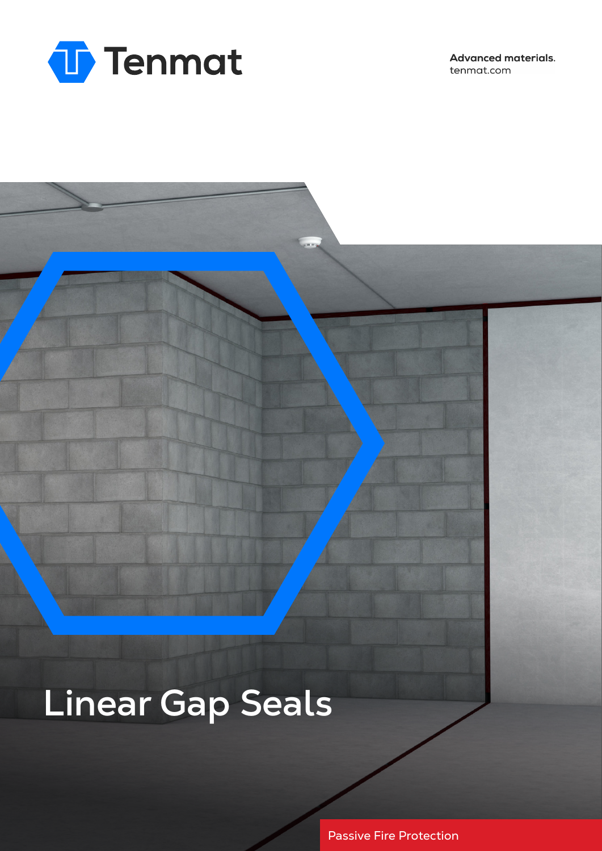

**Advanced materials.** tenmat.com

# **Linear Gap Seals**

Passive Fire Protection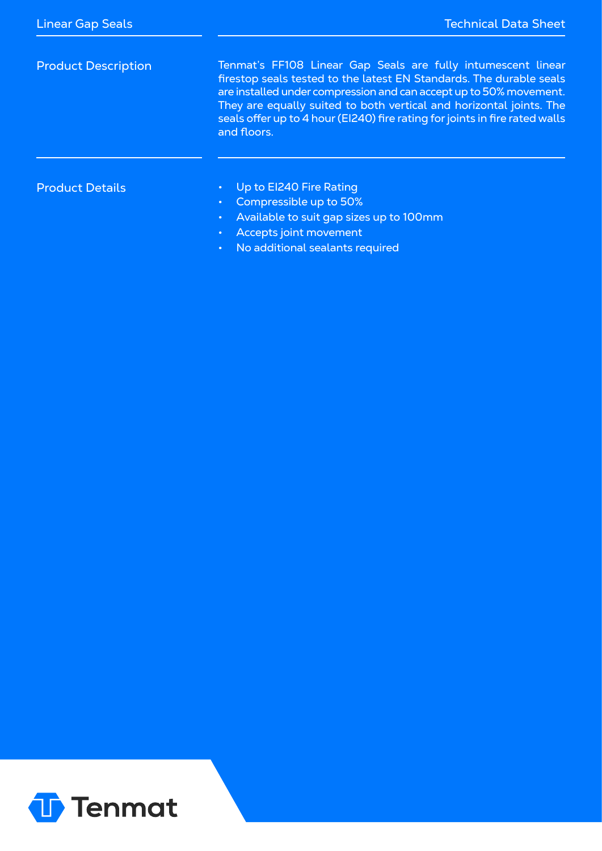| <b>Product Description</b> | Tenmat's FF108 Linear Gap Seals are fully intumescent linear<br>firestop seals tested to the latest EN Standards. The durable seals<br>are installed under compression and can accept up to 50% movement.<br>They are equally suited to both vertical and horizontal joints. The<br>seals offer up to 4 hour (EI240) fire rating for joints in fire rated walls<br>and floors. |
|----------------------------|--------------------------------------------------------------------------------------------------------------------------------------------------------------------------------------------------------------------------------------------------------------------------------------------------------------------------------------------------------------------------------|
| <b>Product Details</b>     | Up to El240 Fire Rating<br>Compressible up to 50%<br>$\bullet$ .<br>Available to suit gap sizes up to 100mm<br>$\bullet$<br>Accepts joint movement<br>$\bullet$<br>No additional sealants required<br>$\bullet$                                                                                                                                                                |

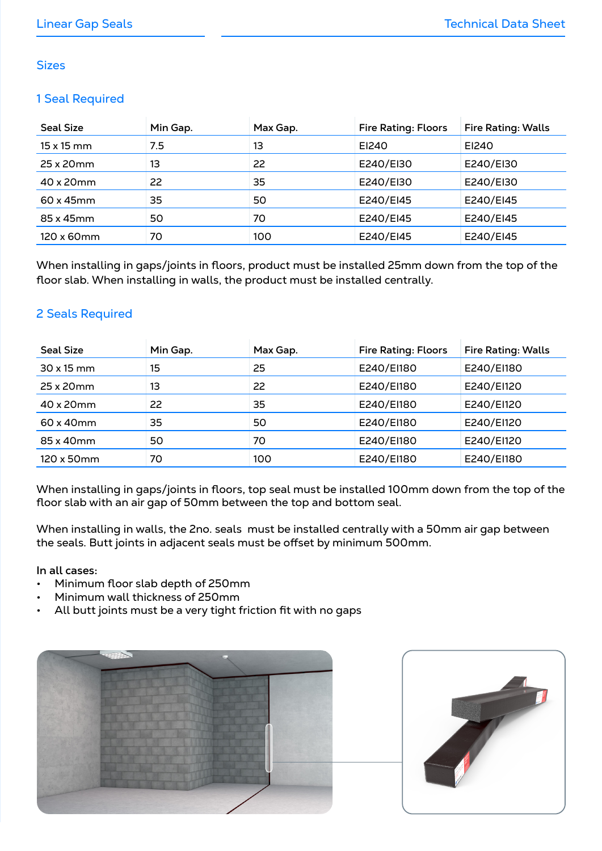#### **Sizes**

#### 1 Seal Required

| <b>Seal Size</b>  | Min Gap. | Max Gap. | <b>Fire Rating: Floors</b> | <b>Fire Rating: Walls</b> |
|-------------------|----------|----------|----------------------------|---------------------------|
| $15 \times 15$ mm | 7.5      | 13       | EI240                      | EI240                     |
| 25 x 20 mm        | 13       | 22       | E240/EI30                  | E240/EI30                 |
| 40 x 20 mm        | 22       | 35       | E240/EI30                  | E240/EI30                 |
| $60 \times 45$ mm | 35       | 50       | E240/EI45                  | E240/EI45                 |
| 85 x 45mm         | 50       | 70       | E240/EI45                  | E240/EI45                 |
| 120 x 60mm        | 70       | 100      | E240/EI45                  | E240/EI45                 |

When installing in gaps/joints in floors, product must be installed 25mm down from the top of the floor slab. When installing in walls, the product must be installed centrally.

### 2 Seals Required

| <b>Seal Size</b> | Min Gap. | Max Gap. | <b>Fire Rating: Floors</b> | <b>Fire Rating: Walls</b> |
|------------------|----------|----------|----------------------------|---------------------------|
| $30x15$ mm       | 15       | 25       | E240/EI180                 | E240/EI180                |
| 25 x 20 mm       | 13       | 22       | E240/EI180                 | E240/EI120                |
| 40 x 20 mm       | 22       | 35       | E240/EI180                 | E240/EI120                |
| 60 x 40mm        | 35       | 50       | E240/EI180                 | E240/EI120                |
| 85 x 40mm        | 50       | 70       | E240/EI180                 | E240/EI120                |
| 120 x 50mm       | 70       | 100      | E240/EI180                 | E240/EI180                |

When installing in gaps/joints in floors, top seal must be installed 100mm down from the top of the floor slab with an air gap of 50mm between the top and bottom seal.

When installing in walls, the 2no. seals must be installed centrally with a 50mm air gap between the seals. Butt joints in adjacent seals must be offset by minimum 500mm.

**In all cases:**

- Minimum floor slab depth of 250mm
- Minimum wall thickness of 250mm
- All butt joints must be a very tight friction fit with no gaps